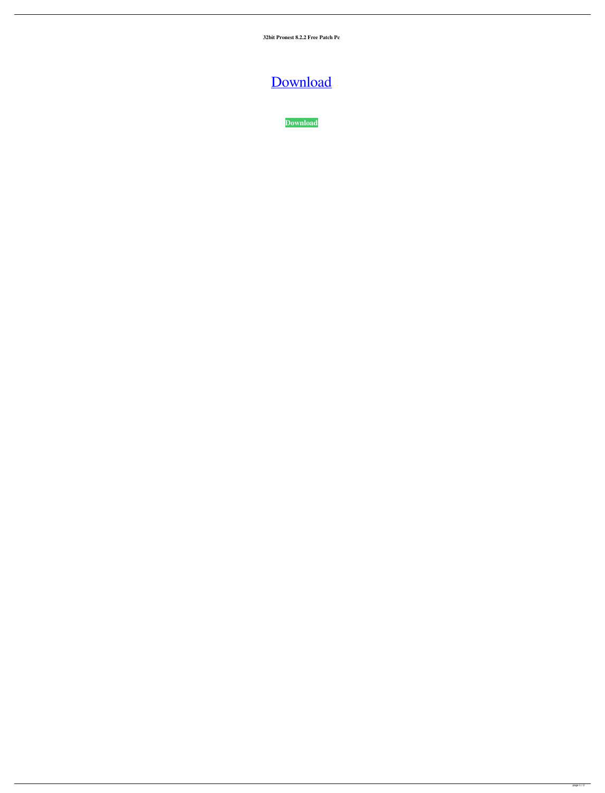**32bit Pronest 8.2.2 Free Patch Pc**

[Download](http://evacdir.com/ZG93bmxvYWR8NVVZTjJsMGZId3hOalV5TnpRd09EWTJmSHd5TlRjMGZId29UU2tnY21WaFpDMWliRzluSUZ0R1lYTjBJRWRGVGww/bourns/decisional/?mile&consolidation=cHJvbmVzdCA4LjIuMiB3aXRoIGNyYWNrIDMwcHJ&marches)

**[Download](http://evacdir.com/ZG93bmxvYWR8NVVZTjJsMGZId3hOalV5TnpRd09EWTJmSHd5TlRjMGZId29UU2tnY21WaFpDMWliRzluSUZ0R1lYTjBJRWRGVGww/bourns/decisional/?mile&consolidation=cHJvbmVzdCA4LjIuMiB3aXRoIGNyYWNrIDMwcHJ&marches)**